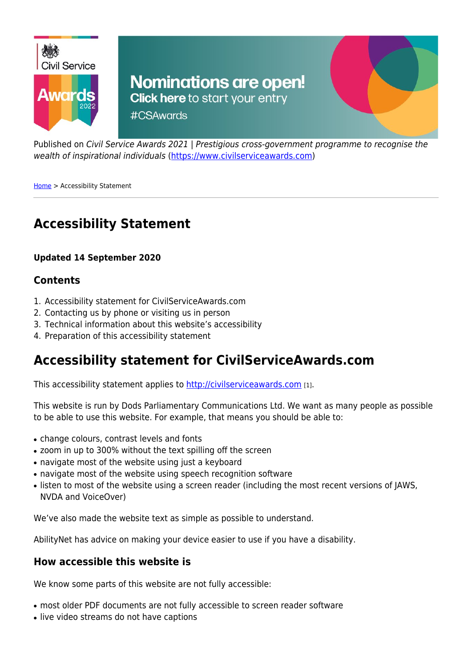

Published on Civil Service Awards 2021 | Prestigious cross-government programme to recognise the wealth of inspirational individuals ([https://www.civilserviceawards.com\)](https://www.civilserviceawards.com)

[Home](https://www.civilserviceawards.com/) > Accessibility Statement

# **Accessibility Statement**

#### **Updated 14 September 2020**

#### **Contents**

- 1. Accessibility statement for CivilServiceAwards.com
- 2. Contacting us by phone or visiting us in person
- 3. Technical information about this website's accessibility
- 4. Preparation of this accessibility statement

### **Accessibility statement for CivilServiceAwards.com**

This accessibility statement applies to<http://civilserviceawards.com> [1].

This website is run by Dods Parliamentary Communications Ltd. We want as many people as possible to be able to use this website. For example, that means you should be able to:

- change colours, contrast levels and fonts
- zoom in up to 300% without the text spilling off the screen
- navigate most of the website using just a keyboard
- navigate most of the website using speech recognition software
- listen to most of the website using a screen reader (including the most recent versions of JAWS, NVDA and VoiceOver)

We've also made the website text as simple as possible to understand.

AbilityNet has advice on making your device easier to use if you have a disability.

#### **How accessible this website is**

We know some parts of this website are not fully accessible:

- most older PDF documents are not fully accessible to screen reader software
- live video streams do not have captions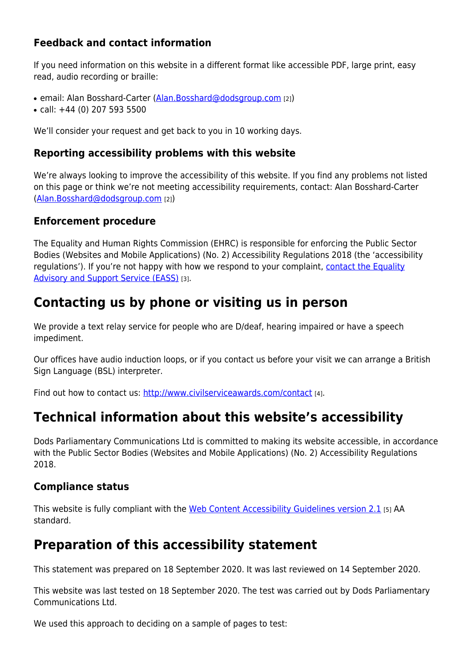### **Feedback and contact information**

If you need information on this website in a different format like accessible PDF, large print, easy read, audio recording or braille:

- email: Alan Bosshard-Carter ([Alan.Bosshard@dodsgroup.com](mailto:Alan.Bosshard@dodsgroup.com) [2])
- $\bullet$  call: +44 (0) 207 593 5500

We'll consider your request and get back to you in 10 working days.

#### **Reporting accessibility problems with this website**

We're always looking to improve the accessibility of this website. If you find any problems not listed on this page or think we're not meeting accessibility requirements, contact: Alan Bosshard-Carter [\(Alan.Bosshard@dodsgroup.com](mailto:Alan.Bosshard@dodsgroup.com) [2])

#### **Enforcement procedure**

The Equality and Human Rights Commission (EHRC) is responsible for enforcing the Public Sector Bodies (Websites and Mobile Applications) (No. 2) Accessibility Regulations 2018 (the 'accessibility regulations'). If you're not happy with how we respond to your complaint, [contact the Equality](https://www.equalityadvisoryservice.com/) [Advisory and Support Service \(EASS\)](https://www.equalityadvisoryservice.com/) [3].

# **Contacting us by phone or visiting us in person**

We provide a text relay service for people who are D/deaf, hearing impaired or have a speech impediment.

Our offices have audio induction loops, or if you contact us before your visit we can arrange a British Sign Language (BSL) interpreter.

Find out how to contact us: <http://www.civilserviceawards.com/contact> [4].

# **Technical information about this website's accessibility**

Dods Parliamentary Communications Ltd is committed to making its website accessible, in accordance with the Public Sector Bodies (Websites and Mobile Applications) (No. 2) Accessibility Regulations 2018.

#### **Compliance status**

This website is fully compliant with the [Web Content Accessibility Guidelines version 2.1](https://www.w3.org/TR/WCAG21/) [5] AA standard.

### **Preparation of this accessibility statement**

This statement was prepared on 18 September 2020. It was last reviewed on 14 September 2020.

This website was last tested on 18 September 2020. The test was carried out by Dods Parliamentary Communications Ltd.

We used this approach to deciding on a sample of pages to test: